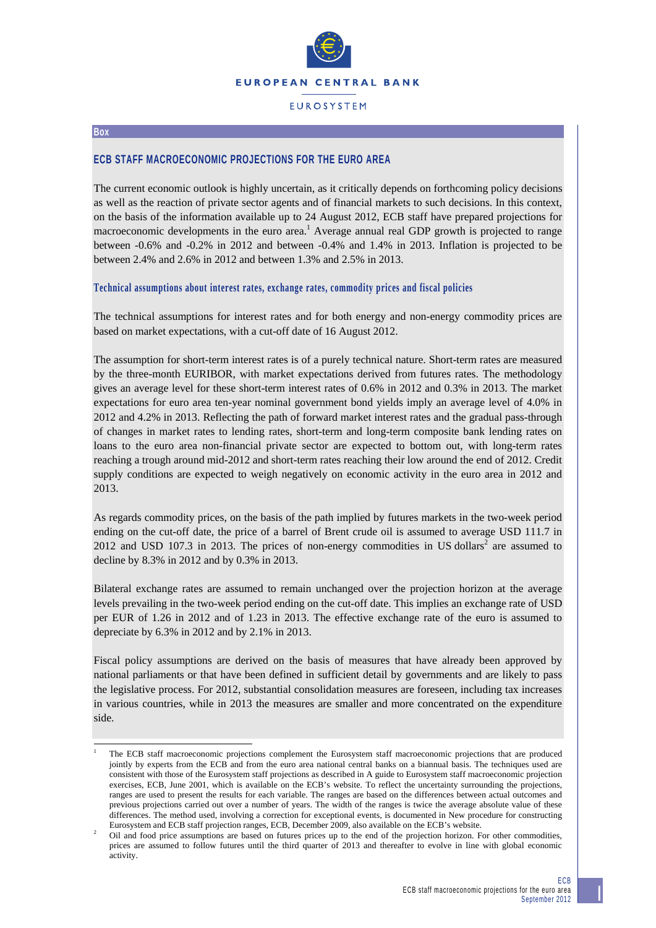

# **EUROSYSTEM**

#### **Box**

-

## **ECB STAFF MACROECONOMIC PROJECTIONS FOR THE EURO AREA**

The current economic outlook is highly uncertain, as it critically depends on forthcoming policy decisions as well as the reaction of private sector agents and of financial markets to such decisions. In this context, on the basis of the information available up to 24 August 2012, ECB staff have prepared projections for macroeconomic developments in the euro area.<sup>1</sup> Average annual real GDP growth is projected to range between -0.6% and -0.2% in 2012 and between -0.4% and 1.4% in 2013. Inflation is projected to be between 2.4% and 2.6% in 2012 and between 1.3% and 2.5% in 2013.

#### **Technical assumptions about interest rates, exchange rates, commodity prices and fiscal policies**

The technical assumptions for interest rates and for both energy and non-energy commodity prices are based on market expectations, with a cut-off date of 16 August 2012.

The assumption for short-term interest rates is of a purely technical nature. Short-term rates are measured by the three-month EURIBOR, with market expectations derived from futures rates. The methodology gives an average level for these short-term interest rates of 0.6% in 2012 and 0.3% in 2013. The market expectations for euro area ten-year nominal government bond yields imply an average level of 4.0% in 2012 and 4.2% in 2013. Reflecting the path of forward market interest rates and the gradual pass-through of changes in market rates to lending rates, short-term and long-term composite bank lending rates on loans to the euro area non-financial private sector are expected to bottom out, with long-term rates reaching a trough around mid-2012 and short-term rates reaching their low around the end of 2012. Credit supply conditions are expected to weigh negatively on economic activity in the euro area in 2012 and 2013.

As regards commodity prices, on the basis of the path implied by futures markets in the two-week period ending on the cut-off date, the price of a barrel of Brent crude oil is assumed to average USD 111.7 in 2012 and USD 107.3 in 2013. The prices of non-energy commodities in US dollars<sup>2</sup> are assumed to decline by 8.3% in 2012 and by 0.3% in 2013.

Bilateral exchange rates are assumed to remain unchanged over the projection horizon at the average levels prevailing in the two-week period ending on the cut-off date. This implies an exchange rate of USD per EUR of 1.26 in 2012 and of 1.23 in 2013. The effective exchange rate of the euro is assumed to depreciate by 6.3% in 2012 and by 2.1% in 2013.

Fiscal policy assumptions are derived on the basis of measures that have already been approved by national parliaments or that have been defined in sufficient detail by governments and are likely to pass the legislative process. For 2012, substantial consolidation measures are foreseen, including tax increases in various countries, while in 2013 the measures are smaller and more concentrated on the expenditure side.

<sup>1</sup> The ECB staff macroeconomic projections complement the Eurosystem staff macroeconomic projections that are produced jointly by experts from the ECB and from the euro area national central banks on a biannual basis. The techniques used are consistent with those of the Eurosystem staff projections as described in A guide to Eurosystem staff macroeconomic projection exercises, ECB, June 2001, which is available on the ECB's website. To reflect the uncertainty surrounding the projections, ranges are used to present the results for each variable. The ranges are based on the differences between actual outcomes and previous projections carried out over a number of years. The width of the ranges is twice the average absolute value of these differences. The method used, involving a correction for exceptional events, is documented in New procedure for constructing Eurosystem and ECB staff projection ranges, ECB, December 2009, also available on the ECB's website.<br>Oil and food price assumptions are based on futures prices up to the end of the projection horizon. For other commodities

prices are assumed to follow futures until the third quarter of 2013 and thereafter to evolve in line with global economic activity.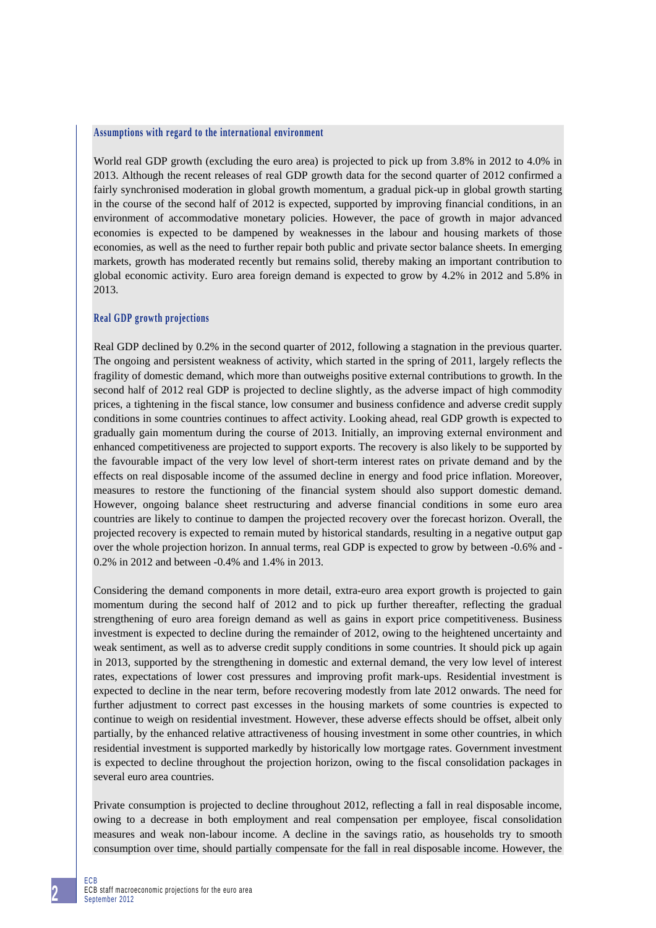#### **Assumptions with regard to the international environment**

World real GDP growth (excluding the euro area) is projected to pick up from 3.8% in 2012 to 4.0% in 2013. Although the recent releases of real GDP growth data for the second quarter of 2012 confirmed a fairly synchronised moderation in global growth momentum, a gradual pick-up in global growth starting in the course of the second half of 2012 is expected, supported by improving financial conditions, in an environment of accommodative monetary policies. However, the pace of growth in major advanced economies is expected to be dampened by weaknesses in the labour and housing markets of those economies, as well as the need to further repair both public and private sector balance sheets. In emerging markets, growth has moderated recently but remains solid, thereby making an important contribution to global economic activity. Euro area foreign demand is expected to grow by 4.2% in 2012 and 5.8% in 2013.

#### **Real GDP growth projections**

Real GDP declined by 0.2% in the second quarter of 2012, following a stagnation in the previous quarter. The ongoing and persistent weakness of activity, which started in the spring of 2011, largely reflects the fragility of domestic demand, which more than outweighs positive external contributions to growth. In the second half of 2012 real GDP is projected to decline slightly, as the adverse impact of high commodity prices, a tightening in the fiscal stance, low consumer and business confidence and adverse credit supply conditions in some countries continues to affect activity. Looking ahead, real GDP growth is expected to gradually gain momentum during the course of 2013. Initially, an improving external environment and enhanced competitiveness are projected to support exports. The recovery is also likely to be supported by the favourable impact of the very low level of short-term interest rates on private demand and by the effects on real disposable income of the assumed decline in energy and food price inflation. Moreover, measures to restore the functioning of the financial system should also support domestic demand. However, ongoing balance sheet restructuring and adverse financial conditions in some euro area countries are likely to continue to dampen the projected recovery over the forecast horizon. Overall, the projected recovery is expected to remain muted by historical standards, resulting in a negative output gap over the whole projection horizon. In annual terms, real GDP is expected to grow by between -0.6% and - 0.2% in 2012 and between -0.4% and 1.4% in 2013.

Considering the demand components in more detail, extra-euro area export growth is projected to gain momentum during the second half of 2012 and to pick up further thereafter, reflecting the gradual strengthening of euro area foreign demand as well as gains in export price competitiveness. Business investment is expected to decline during the remainder of 2012, owing to the heightened uncertainty and weak sentiment, as well as to adverse credit supply conditions in some countries. It should pick up again in 2013, supported by the strengthening in domestic and external demand, the very low level of interest rates, expectations of lower cost pressures and improving profit mark-ups. Residential investment is expected to decline in the near term, before recovering modestly from late 2012 onwards. The need for further adjustment to correct past excesses in the housing markets of some countries is expected to continue to weigh on residential investment. However, these adverse effects should be offset, albeit only partially, by the enhanced relative attractiveness of housing investment in some other countries, in which residential investment is supported markedly by historically low mortgage rates. Government investment is expected to decline throughout the projection horizon, owing to the fiscal consolidation packages in several euro area countries.

Private consumption is projected to decline throughout 2012, reflecting a fall in real disposable income, owing to a decrease in both employment and real compensation per employee, fiscal consolidation measures and weak non-labour income. A decline in the savings ratio, as households try to smooth consumption over time, should partially compensate for the fall in real disposable income. However, the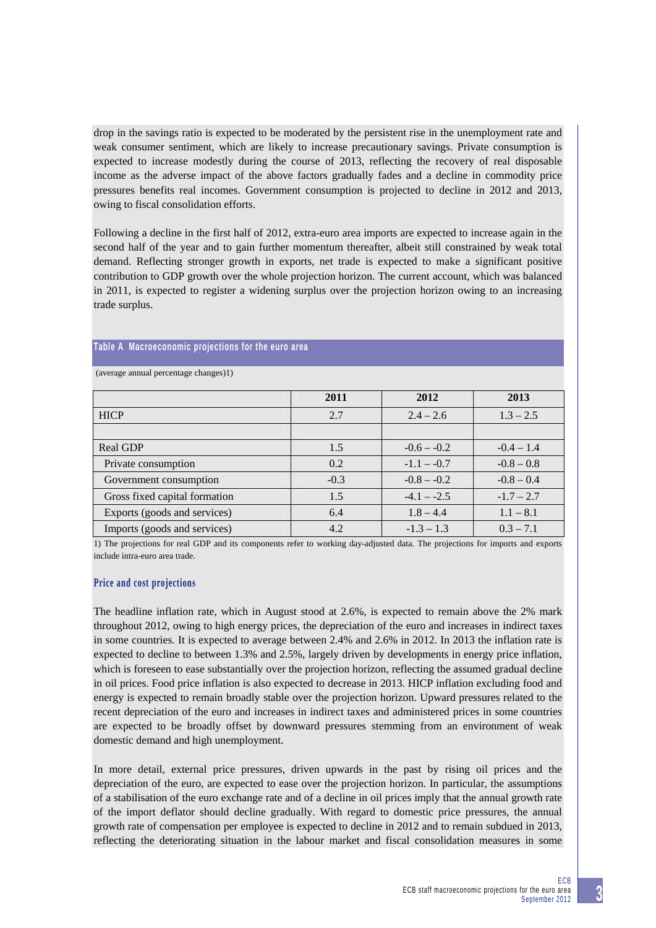drop in the savings ratio is expected to be moderated by the persistent rise in the unemployment rate and weak consumer sentiment, which are likely to increase precautionary savings. Private consumption is expected to increase modestly during the course of 2013, reflecting the recovery of real disposable income as the adverse impact of the above factors gradually fades and a decline in commodity price pressures benefits real incomes. Government consumption is projected to decline in 2012 and 2013, owing to fiscal consolidation efforts.

Following a decline in the first half of 2012, extra-euro area imports are expected to increase again in the second half of the year and to gain further momentum thereafter, albeit still constrained by weak total demand. Reflecting stronger growth in exports, net trade is expected to make a significant positive contribution to GDP growth over the whole projection horizon. The current account, which was balanced in 2011, is expected to register a widening surplus over the projection horizon owing to an increasing trade surplus.

## **Table A Macroeconomic projections for the euro area**

|                               | 2011   | 2012          | 2013         |
|-------------------------------|--------|---------------|--------------|
| <b>HICP</b>                   | 2.7    | $2.4 - 2.6$   | $1.3 - 2.5$  |
|                               |        |               |              |
| Real GDP                      | 1.5    | $-0.6 - -0.2$ | $-0.4 - 1.4$ |
| Private consumption           | 0.2    | $-1.1 - -0.7$ | $-0.8 - 0.8$ |
| Government consumption        | $-0.3$ | $-0.8 - -0.2$ | $-0.8 - 0.4$ |
| Gross fixed capital formation | 1.5    | $-4.1 - -2.5$ | $-1.7 - 2.7$ |
| Exports (goods and services)  | 6.4    | $1.8 - 4.4$   | $1.1 - 8.1$  |
| Imports (goods and services)  | 4.2    | $-1.3 - 1.3$  | $0.3 - 7.1$  |

(average annual percentage changes)1)

1) The projections for real GDP and its components refer to working day-adjusted data. The projections for imports and exports include intra-euro area trade.

## **Price and cost projections**

The headline inflation rate, which in August stood at 2.6%, is expected to remain above the 2% mark throughout 2012, owing to high energy prices, the depreciation of the euro and increases in indirect taxes in some countries. It is expected to average between 2.4% and 2.6% in 2012. In 2013 the inflation rate is expected to decline to between 1.3% and 2.5%, largely driven by developments in energy price inflation, which is foreseen to ease substantially over the projection horizon, reflecting the assumed gradual decline in oil prices. Food price inflation is also expected to decrease in 2013. HICP inflation excluding food and energy is expected to remain broadly stable over the projection horizon. Upward pressures related to the recent depreciation of the euro and increases in indirect taxes and administered prices in some countries are expected to be broadly offset by downward pressures stemming from an environment of weak domestic demand and high unemployment.

In more detail, external price pressures, driven upwards in the past by rising oil prices and the depreciation of the euro, are expected to ease over the projection horizon. In particular, the assumptions of a stabilisation of the euro exchange rate and of a decline in oil prices imply that the annual growth rate of the import deflator should decline gradually. With regard to domestic price pressures, the annual growth rate of compensation per employee is expected to decline in 2012 and to remain subdued in 2013, reflecting the deteriorating situation in the labour market and fiscal consolidation measures in some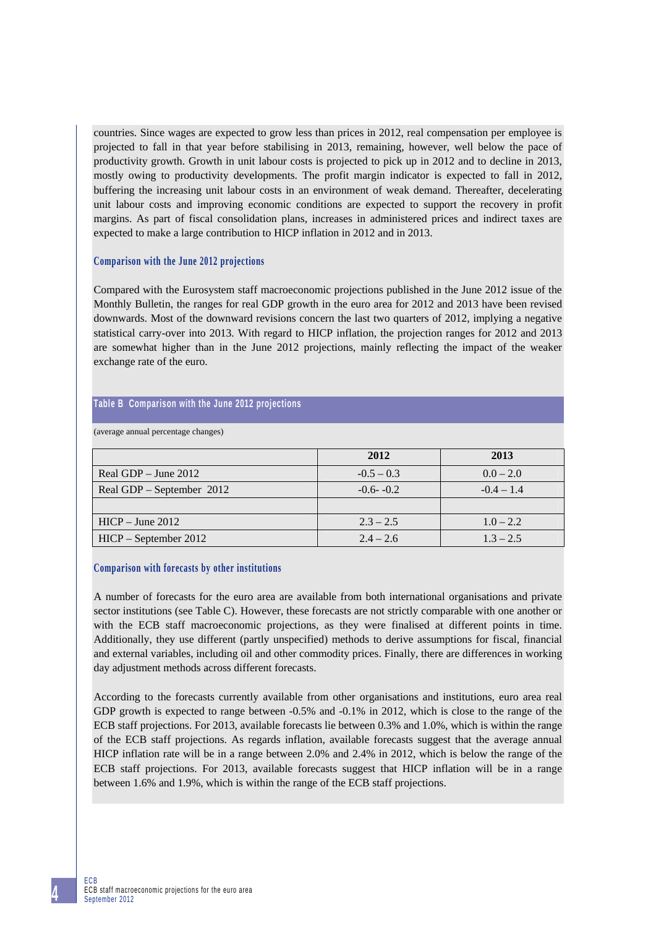countries. Since wages are expected to grow less than prices in 2012, real compensation per employee is projected to fall in that year before stabilising in 2013, remaining, however, well below the pace of productivity growth. Growth in unit labour costs is projected to pick up in 2012 and to decline in 2013, mostly owing to productivity developments. The profit margin indicator is expected to fall in 2012, buffering the increasing unit labour costs in an environment of weak demand. Thereafter, decelerating unit labour costs and improving economic conditions are expected to support the recovery in profit margins. As part of fiscal consolidation plans, increases in administered prices and indirect taxes are expected to make a large contribution to HICP inflation in 2012 and in 2013.

# **Comparison with the June 2012 projections**

Compared with the Eurosystem staff macroeconomic projections published in the June 2012 issue of the Monthly Bulletin, the ranges for real GDP growth in the euro area for 2012 and 2013 have been revised downwards. Most of the downward revisions concern the last two quarters of 2012, implying a negative statistical carry-over into 2013. With regard to HICP inflation, the projection ranges for 2012 and 2013 are somewhat higher than in the June 2012 projections, mainly reflecting the impact of the weaker exchange rate of the euro.

## **Table B Comparison with the June 2012 projections**

(average annual percentage changes)

|                           | 2012         | 2013         |  |
|---------------------------|--------------|--------------|--|
| Real GDP $-$ June 2012    | $-0.5 - 0.3$ | $0.0 - 2.0$  |  |
| Real GDP – September 2012 | $-0.6 - 0.2$ | $-0.4 - 1.4$ |  |
|                           |              |              |  |
| $HICP - June 2012$        | $2.3 - 2.5$  | $1.0 - 2.2$  |  |
| $HICP - September 2012$   | $2.4 - 2.6$  | $1.3 - 2.5$  |  |

## **Comparison with forecasts by other institutions**

A number of forecasts for the euro area are available from both international organisations and private sector institutions (see Table C). However, these forecasts are not strictly comparable with one another or with the ECB staff macroeconomic projections, as they were finalised at different points in time. Additionally, they use different (partly unspecified) methods to derive assumptions for fiscal, financial and external variables, including oil and other commodity prices. Finally, there are differences in working day adjustment methods across different forecasts.

According to the forecasts currently available from other organisations and institutions, euro area real GDP growth is expected to range between -0.5% and -0.1% in 2012, which is close to the range of the ECB staff projections. For 2013, available forecasts lie between 0.3% and 1.0%, which is within the range of the ECB staff projections. As regards inflation, available forecasts suggest that the average annual HICP inflation rate will be in a range between 2.0% and 2.4% in 2012, which is below the range of the ECB staff projections. For 2013, available forecasts suggest that HICP inflation will be in a range between 1.6% and 1.9%, which is within the range of the ECB staff projections.